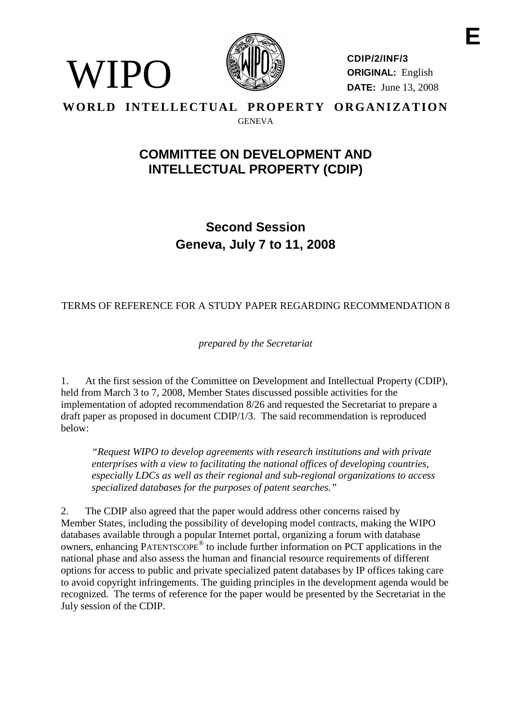

 $\prime$  IPO

**CDIP/2/INF/3 ORIGINAL:** English **DATE:** June 13, 2008

## **WORLD INTELLECTUAL PROPERTY ORGANIZATION** GENEVA

# **COMMITTEE ON DEVELOPMENT AND INTELLECTUAL PROPERTY (CDIP)**

**Second Session Geneva, July 7 to 11, 2008**

## TERMS OF REFERENCE FOR A STUDY PAPER REGARDING RECOMMENDATION 8

*prepared by the Secretariat*

1. At the first session of the Committee on Development and Intellectual Property (CDIP), held from March 3 to 7, 2008, Member States discussed possible activities for the implementation of adopted recommendation 8/26 and requested the Secretariat to prepare a draft paper as proposed in document CDIP/1/3. The said recommendation is reproduced below:

*"Request WIPO to develop agreements with research institutions and with private enterprises with a view to facilitating the national offices of developing countries, especially LDCs as well as their regional and sub-regional organizations to access specialized databases for the purposes of patent searches."*

2. The CDIP also agreed that the paper would address other concerns raised by Member States, including the possibility of developing model contracts, making the WIPO databases available through a popular Internet portal, organizing a forum with database owners, enhancing PATENTSCOPE® to include further information on PCT applications in the national phase and also assess the human and financial resource requirements of different options for access to public and private specialized patent databases by IP offices taking care to avoid copyright infringements. The guiding principles in the development agenda would be recognized. The terms of reference for the paper would be presented by the Secretariat in the July session of the CDIP.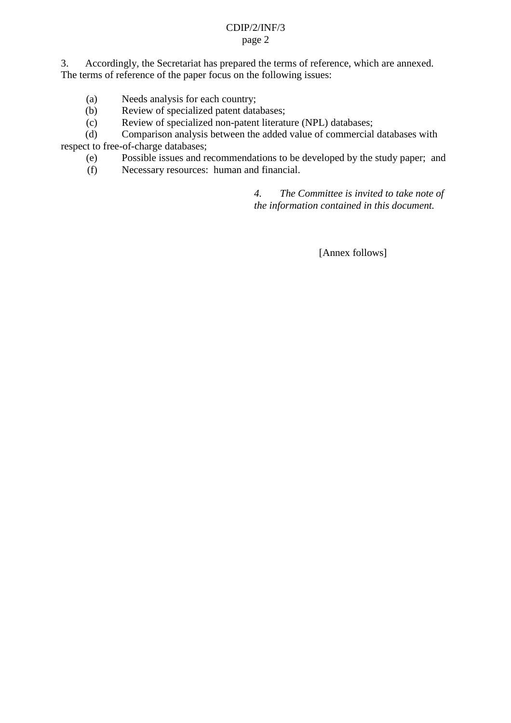#### CDIP/2/INF/3 page 2

3. Accordingly, the Secretariat has prepared the terms of reference, which are annexed. The terms of reference of the paper focus on the following issues:

- (a) Needs analysis for each country;
- (b) Review of specialized patent databases;
- (c) Review of specialized non-patent literature (NPL) databases;

(d) Comparison analysis between the added value of commercial databases with respect to free-of-charge databases;

- (e) Possible issues and recommendations to be developed by the study paper; and
- (f) Necessary resources: human and financial.

*4. The Committee is invited to take note of the information contained in this document.*

[Annex follows]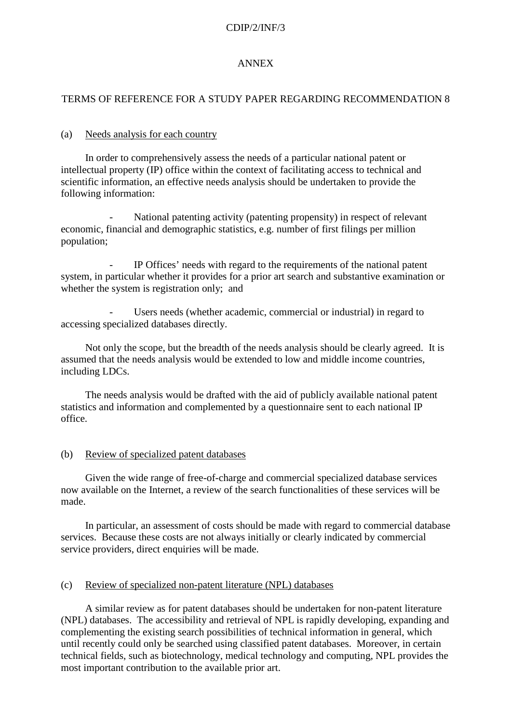#### CDIP/2/INF/3

#### ANNEX

## TERMS OF REFERENCE FOR A STUDY PAPER REGARDING RECOMMENDATION 8

#### (a) Needs analysis for each country

In order to comprehensively assess the needs of a particular national patent or intellectual property (IP) office within the context of facilitating access to technical and scientific information, an effective needs analysis should be undertaken to provide the following information:

National patenting activity (patenting propensity) in respect of relevant economic, financial and demographic statistics, e.g. number of first filings per million population;

- IP Offices' needs with regard to the requirements of the national patent system, in particular whether it provides for a prior art search and substantive examination or whether the system is registration only: and

Users needs (whether academic, commercial or industrial) in regard to accessing specialized databases directly.

Not only the scope, but the breadth of the needs analysis should be clearly agreed. It is assumed that the needs analysis would be extended to low and middle income countries, including LDCs.

The needs analysis would be drafted with the aid of publicly available national patent statistics and information and complemented by a questionnaire sent to each national IP office.

#### (b) Review of specialized patent databases

Given the wide range of free-of-charge and commercial specialized database services now available on the Internet, a review of the search functionalities of these services will be made.

In particular, an assessment of costs should be made with regard to commercial database services. Because these costs are not always initially or clearly indicated by commercial service providers, direct enquiries will be made.

#### (c) Review of specialized non-patent literature (NPL) databases

A similar review as for patent databases should be undertaken for non-patent literature (NPL) databases. The accessibility and retrieval of NPL is rapidly developing, expanding and complementing the existing search possibilities of technical information in general, which until recently could only be searched using classified patent databases. Moreover, in certain technical fields, such as biotechnology, medical technology and computing, NPL provides the most important contribution to the available prior art.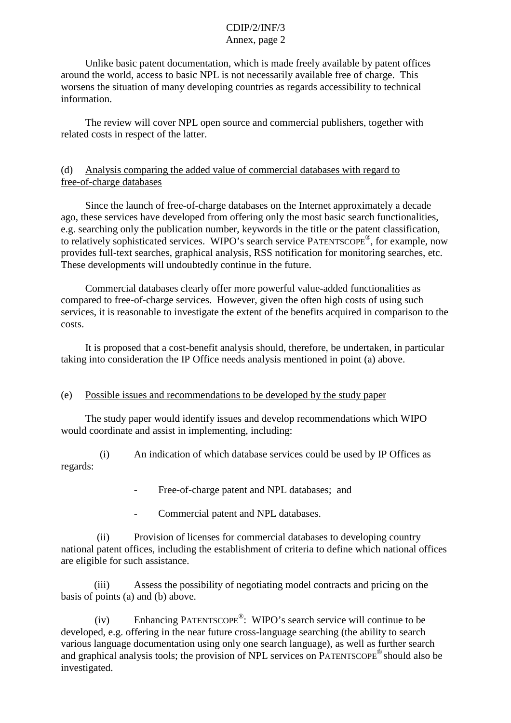#### CDIP/2/INF/3 Annex, page 2

Unlike basic patent documentation, which is made freely available by patent offices around the world, access to basic NPL is not necessarily available free of charge. This worsens the situation of many developing countries as regards accessibility to technical information.

The review will cover NPL open source and commercial publishers, together with related costs in respect of the latter.

## (d) Analysis comparing the added value of commercial databases with regard to free-of-charge databases

Since the launch of free-of-charge databases on the Internet approximately a decade ago, these services have developed from offering only the most basic search functionalities, e.g. searching only the publication number, keywords in the title or the patent classification, to relatively sophisticated services. WIPO's search service PATENTSCOPE®, for example, now provides full-text searches, graphical analysis, RSS notification for monitoring searches, etc. These developments will undoubtedly continue in the future.

Commercial databases clearly offer more powerful value-added functionalities as compared to free-of-charge services. However, given the often high costs of using such services, it is reasonable to investigate the extent of the benefits acquired in comparison to the costs.

It is proposed that a cost-benefit analysis should, therefore, be undertaken, in particular taking into consideration the IP Office needs analysis mentioned in point (a) above.

## (e) Possible issues and recommendations to be developed by the study paper

The study paper would identify issues and develop recommendations which WIPO would coordinate and assist in implementing, including:

(i) An indication of which database services could be used by IP Offices as regards:

- Free-of-charge patent and NPL databases; and
- Commercial patent and NPL databases.

(ii) Provision of licenses for commercial databases to developing country national patent offices, including the establishment of criteria to define which national offices are eligible for such assistance.

(iii) Assess the possibility of negotiating model contracts and pricing on the basis of points (a) and (b) above.

(iv) Enhancing PATENTSCOPE®: WIPO's search service will continue to be developed, e.g. offering in the near future cross-language searching (the ability to search various language documentation using only one search language), as well as further search and graphical analysis tools; the provision of NPL services on PATENTSCOPE® should also be investigated.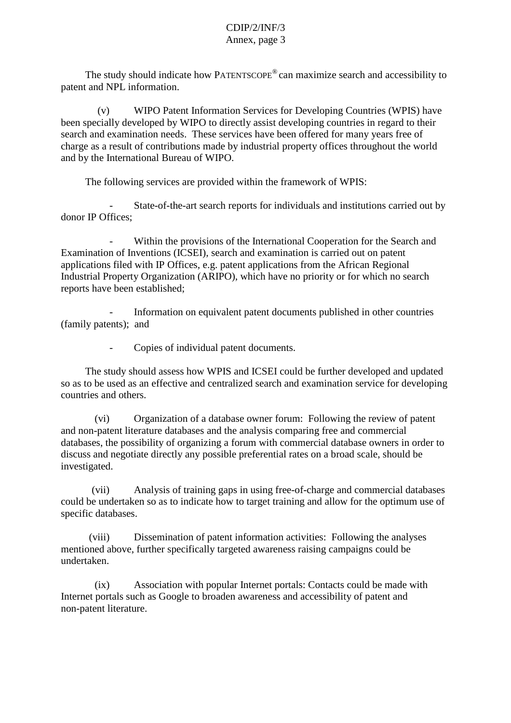#### CDIP/2/INF/3 Annex, page 3

The study should indicate how PATENTSCOPE® can maximize search and accessibility to patent and NPL information.

(v) WIPO Patent Information Services for Developing Countries (WPIS) have been specially developed by WIPO to directly assist developing countries in regard to their search and examination needs. These services have been offered for many years free of charge as a result of contributions made by industrial property offices throughout the world and by the International Bureau of WIPO.

The following services are provided within the framework of WPIS:

- State-of-the-art search reports for individuals and institutions carried out by donor IP Offices;

Within the provisions of the International Cooperation for the Search and Examination of Inventions (ICSEI), search and examination is carried out on patent applications filed with IP Offices, e.g. patent applications from the African Regional Industrial Property Organization (ARIPO), which have no priority or for which no search reports have been established;

- Information on equivalent patent documents published in other countries (family patents); and

Copies of individual patent documents.

The study should assess how WPIS and ICSEI could be further developed and updated so as to be used as an effective and centralized search and examination service for developing countries and others.

(vi) Organization of a database owner forum: Following the review of patent and non-patent literature databases and the analysis comparing free and commercial databases, the possibility of organizing a forum with commercial database owners in order to discuss and negotiate directly any possible preferential rates on a broad scale, should be investigated.

(vii) Analysis of training gaps in using free-of-charge and commercial databases could be undertaken so as to indicate how to target training and allow for the optimum use of specific databases.

(viii) Dissemination of patent information activities: Following the analyses mentioned above, further specifically targeted awareness raising campaigns could be undertaken.

(ix) Association with popular Internet portals: Contacts could be made with Internet portals such as Google to broaden awareness and accessibility of patent and non-patent literature.